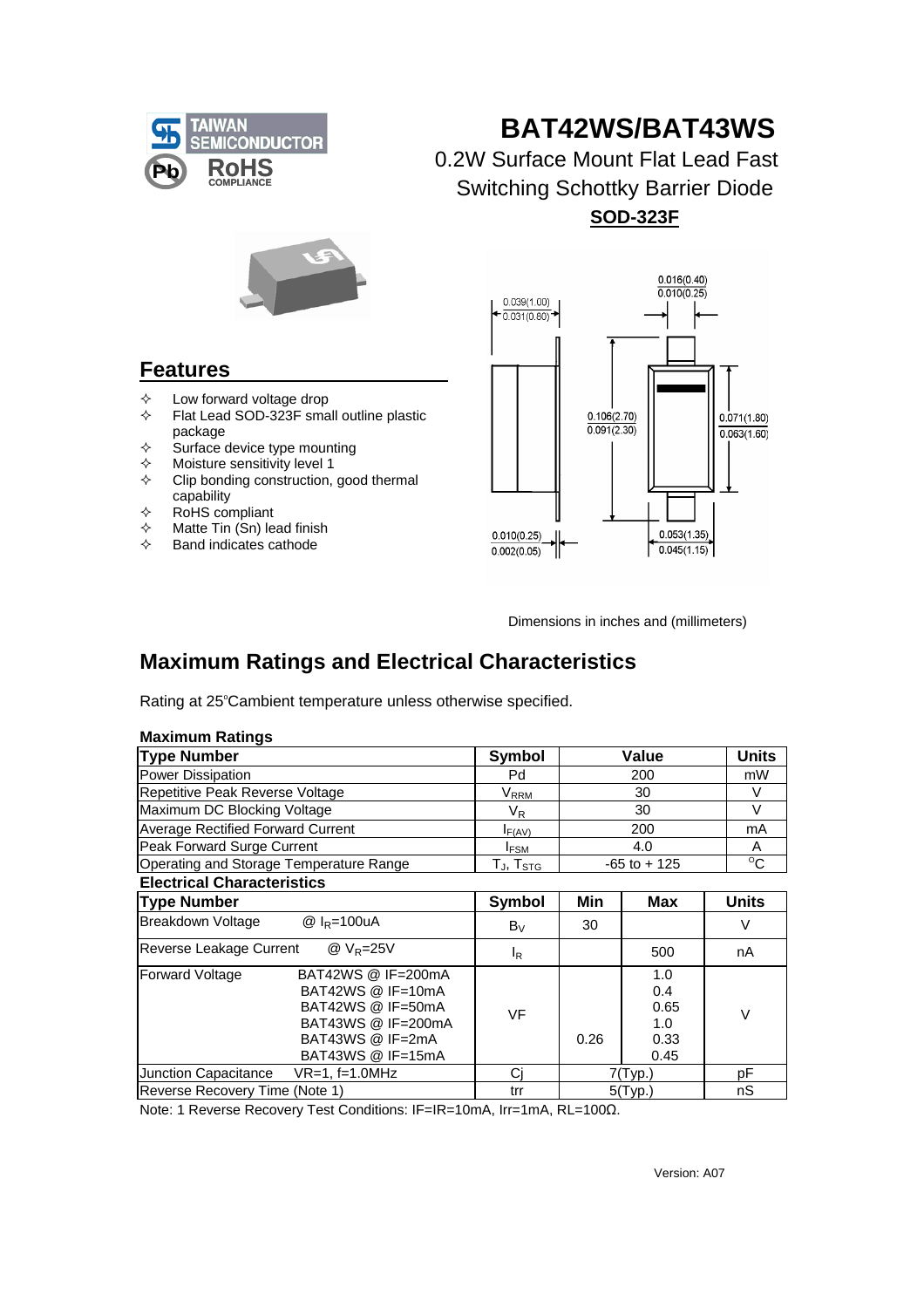

## **BAT42WS/BAT43WS**

0.2W Surface Mount Flat Lead Fast Switching Schottky Barrier Diode  **SOD-323F**



## **Features**

- $\diamond$  Low forward voltage drop<br>  $\diamond$  Flat Lead SOD-323F sma
- Flat Lead SOD-323F small outline plastic package
- $\diamond$  Surface device type mounting
- $\lozenge$  Moisture sensitivity level 1
- $\Diamond$  Clip bonding construction, good thermal capability
- $\Leftrightarrow$  RoHS compliant
- $\Leftrightarrow$  Matte Tin (Sn) lead finish
- $\Leftrightarrow$  Band indicates cathode



Dimensions in inches and (millimeters)

0.26

## **Maximum Ratings and Electrical Characteristics**

Rating at 25°Cambient temperature unless otherwise specified.

| <b>Maximum Ratings</b> |  |
|------------------------|--|
|                        |  |

| **************************************                                                                       |                                                      |                 |                           |              |  |
|--------------------------------------------------------------------------------------------------------------|------------------------------------------------------|-----------------|---------------------------|--------------|--|
| <b>Type Number</b>                                                                                           | Symbol                                               |                 | <b>Units</b>              |              |  |
| Power Dissipation                                                                                            | Pd                                                   | 200             |                           | mW           |  |
| Repetitive Peak Reverse Voltage                                                                              | $\mathsf{V}_\mathsf{RRM}$                            | 30              |                           | V            |  |
| Maximum DC Blocking Voltage                                                                                  | $V_{R}$                                              |                 | V                         |              |  |
| <b>Average Rectified Forward Current</b>                                                                     | $I_{F(AV)}$                                          | 200             |                           | mA           |  |
| Peak Forward Surge Current                                                                                   | <b>IFSM</b>                                          |                 | A                         |              |  |
| Operating and Storage Temperature Range                                                                      | $\mathsf{T}_{\mathsf{J}}, \mathsf{T}_{\mathsf{STG}}$ | $-65$ to $+125$ | $\overline{C}$            |              |  |
| <b>Electrical Characteristics</b>                                                                            |                                                      |                 |                           |              |  |
| <b>Type Number</b>                                                                                           | Symbol                                               | Min             | <b>Max</b>                | <b>Units</b> |  |
| Breakdown Voltage<br>@ $I_R = 100 uA$                                                                        | $B_V$                                                | 30              |                           | V            |  |
| Reverse Leakage Current<br>@ $V_R = 25V$                                                                     | $I_R$                                                |                 | 500                       | nA           |  |
| BAT42WS @ IF=200mA<br><b>Forward Voltage</b><br>BAT42WS @ IF=10mA<br>BAT42WS @ IF=50mA<br>BAT43WS @ IF=200mA | VF                                                   |                 | 1.0<br>0.4<br>0.65<br>1.0 | V            |  |

 BAT43WS @ IF=15mA 0.45 Junction Capacitance VR=1, f=1.0MHz Cj 7(Typ.) pF Reverse Recovery Time (Note 1) trr 5(Typ.) nS

Note: 1 Reverse Recovery Test Conditions: IF=IR=10mA, Irr=1mA, RL=100Ω.

BAT43WS @ IF=2mA

1.0 0.33